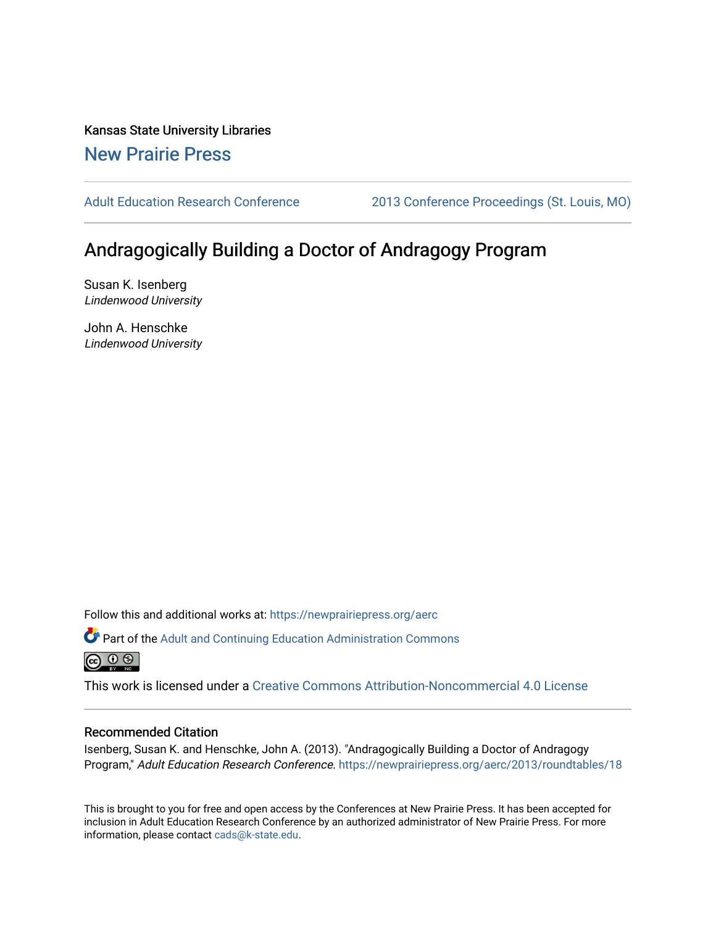Kansas State University Libraries [New Prairie Press](https://newprairiepress.org/) 

[Adult Education Research Conference](https://newprairiepress.org/aerc) [2013 Conference Proceedings \(St. Louis, MO\)](https://newprairiepress.org/aerc/2013) 

# Andragogically Building a Doctor of Andragogy Program

Susan K. Isenberg Lindenwood University

John A. Henschke Lindenwood University

Follow this and additional works at: [https://newprairiepress.org/aerc](https://newprairiepress.org/aerc?utm_source=newprairiepress.org%2Faerc%2F2013%2Froundtables%2F18&utm_medium=PDF&utm_campaign=PDFCoverPages)

Part of the [Adult and Continuing Education Administration Commons](http://network.bepress.com/hgg/discipline/789?utm_source=newprairiepress.org%2Faerc%2F2013%2Froundtables%2F18&utm_medium=PDF&utm_campaign=PDFCoverPages) <u>ெ ெ ⊜</u>

This work is licensed under a [Creative Commons Attribution-Noncommercial 4.0 License](https://creativecommons.org/licenses/by-nc/4.0/)

### Recommended Citation

Isenberg, Susan K. and Henschke, John A. (2013). "Andragogically Building a Doctor of Andragogy Program," Adult Education Research Conference. <https://newprairiepress.org/aerc/2013/roundtables/18>

This is brought to you for free and open access by the Conferences at New Prairie Press. It has been accepted for inclusion in Adult Education Research Conference by an authorized administrator of New Prairie Press. For more information, please contact [cads@k-state.edu](mailto:cads@k-state.edu).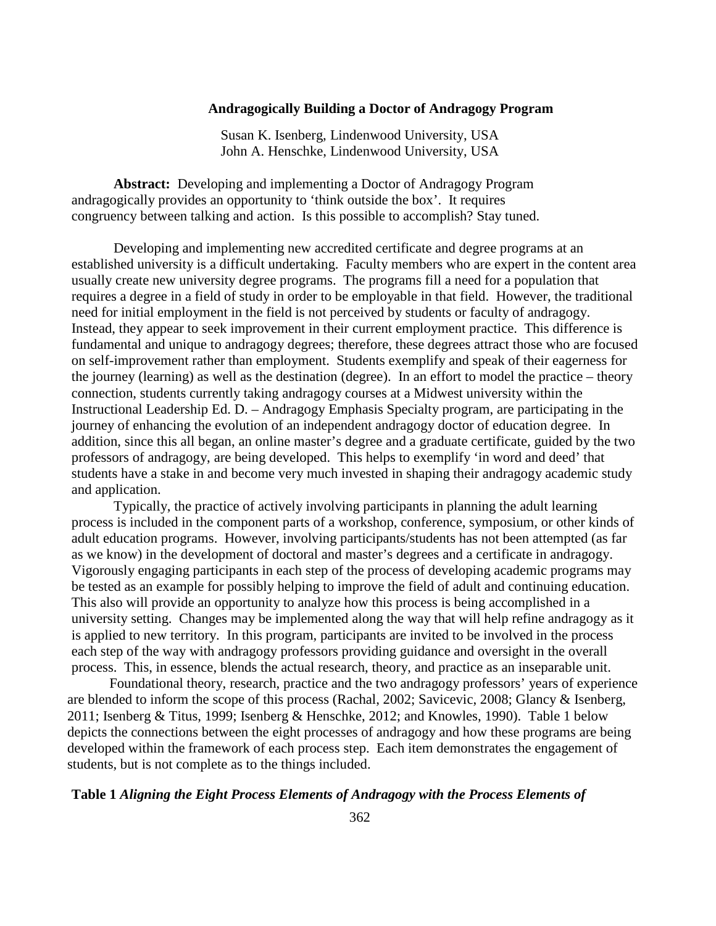### **Andragogically Building a Doctor of Andragogy Program**

Susan K. Isenberg, Lindenwood University, USA John A. Henschke, Lindenwood University, USA

**Abstract:** Developing and implementing a Doctor of Andragogy Program andragogically provides an opportunity to 'think outside the box'. It requires congruency between talking and action. Is this possible to accomplish? Stay tuned.

Developing and implementing new accredited certificate and degree programs at an established university is a difficult undertaking. Faculty members who are expert in the content area usually create new university degree programs. The programs fill a need for a population that requires a degree in a field of study in order to be employable in that field. However, the traditional need for initial employment in the field is not perceived by students or faculty of andragogy. Instead, they appear to seek improvement in their current employment practice. This difference is fundamental and unique to andragogy degrees; therefore, these degrees attract those who are focused on self-improvement rather than employment. Students exemplify and speak of their eagerness for the journey (learning) as well as the destination (degree). In an effort to model the practice – theory connection, students currently taking andragogy courses at a Midwest university within the Instructional Leadership Ed. D. – Andragogy Emphasis Specialty program, are participating in the journey of enhancing the evolution of an independent andragogy doctor of education degree. In addition, since this all began, an online master's degree and a graduate certificate, guided by the two professors of andragogy, are being developed. This helps to exemplify 'in word and deed' that students have a stake in and become very much invested in shaping their andragogy academic study and application.

Typically, the practice of actively involving participants in planning the adult learning process is included in the component parts of a workshop, conference, symposium, or other kinds of adult education programs. However, involving participants/students has not been attempted (as far as we know) in the development of doctoral and master's degrees and a certificate in andragogy. Vigorously engaging participants in each step of the process of developing academic programs may be tested as an example for possibly helping to improve the field of adult and continuing education. This also will provide an opportunity to analyze how this process is being accomplished in a university setting. Changes may be implemented along the way that will help refine andragogy as it is applied to new territory. In this program, participants are invited to be involved in the process each step of the way with andragogy professors providing guidance and oversight in the overall process. This, in essence, blends the actual research, theory, and practice as an inseparable unit.

Foundational theory, research, practice and the two andragogy professors' years of experience are blended to inform the scope of this process (Rachal, 2002; Savicevic, 2008; Glancy & Isenberg, 2011; Isenberg & Titus, 1999; Isenberg & Henschke, 2012; and Knowles, 1990). Table 1 below depicts the connections between the eight processes of andragogy and how these programs are being developed within the framework of each process step. Each item demonstrates the engagement of students, but is not complete as to the things included.

### **Table 1** *Aligning the Eight Process Elements of Andragogy with the Process Elements of*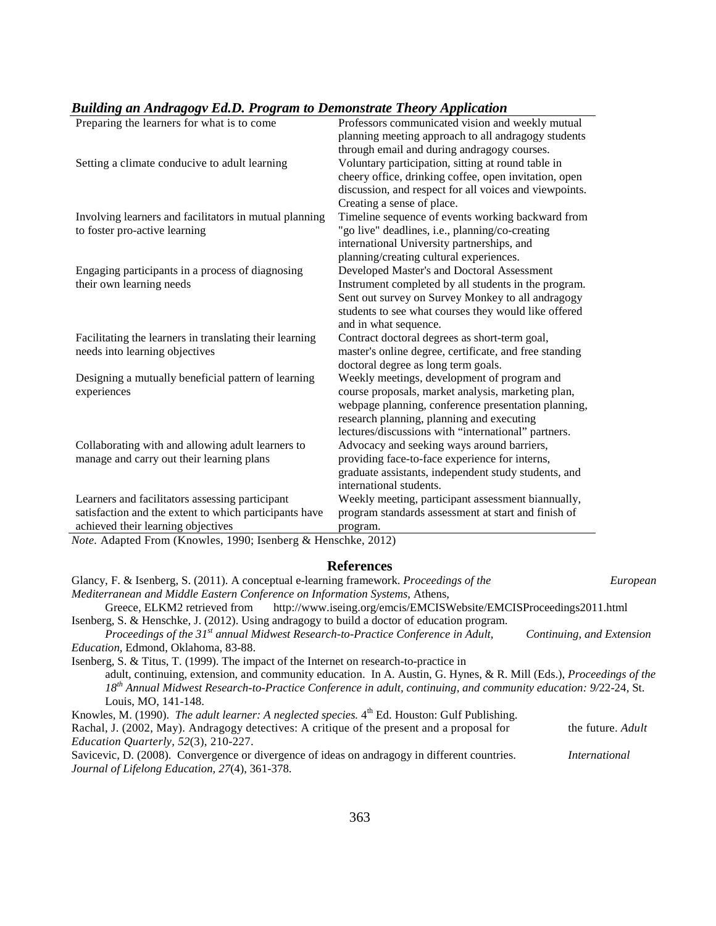|  |  |  |  | <b>Building an Andragogv Ed.D. Program to Demonstrate Theory Application</b> |
|--|--|--|--|------------------------------------------------------------------------------|
|--|--|--|--|------------------------------------------------------------------------------|

| . .<br>- 00                                             |                                                        |  |  |
|---------------------------------------------------------|--------------------------------------------------------|--|--|
| Preparing the learners for what is to come              | Professors communicated vision and weekly mutual       |  |  |
|                                                         | planning meeting approach to all andragogy students    |  |  |
|                                                         | through email and during andragogy courses.            |  |  |
| Setting a climate conducive to adult learning           | Voluntary participation, sitting at round table in     |  |  |
|                                                         | cheery office, drinking coffee, open invitation, open  |  |  |
|                                                         | discussion, and respect for all voices and viewpoints. |  |  |
|                                                         | Creating a sense of place.                             |  |  |
| Involving learners and facilitators in mutual planning  | Timeline sequence of events working backward from      |  |  |
| to foster pro-active learning                           | "go live" deadlines, i.e., planning/co-creating        |  |  |
|                                                         | international University partnerships, and             |  |  |
|                                                         | planning/creating cultural experiences.                |  |  |
| Engaging participants in a process of diagnosing        | Developed Master's and Doctoral Assessment             |  |  |
| their own learning needs                                | Instrument completed by all students in the program.   |  |  |
|                                                         | Sent out survey on Survey Monkey to all andragogy      |  |  |
|                                                         | students to see what courses they would like offered   |  |  |
|                                                         | and in what sequence.                                  |  |  |
| Facilitating the learners in translating their learning | Contract doctoral degrees as short-term goal,          |  |  |
| needs into learning objectives                          | master's online degree, certificate, and free standing |  |  |
|                                                         | doctoral degree as long term goals.                    |  |  |
| Designing a mutually beneficial pattern of learning     | Weekly meetings, development of program and            |  |  |
| experiences                                             | course proposals, market analysis, marketing plan,     |  |  |
|                                                         | webpage planning, conference presentation planning,    |  |  |
|                                                         | research planning, planning and executing              |  |  |
|                                                         | lectures/discussions with "international" partners.    |  |  |
| Collaborating with and allowing adult learners to       | Advocacy and seeking ways around barriers,             |  |  |
| manage and carry out their learning plans               | providing face-to-face experience for interns,         |  |  |
|                                                         | graduate assistants, independent study students, and   |  |  |
|                                                         | international students.                                |  |  |
| Learners and facilitators assessing participant         | Weekly meeting, participant assessment biannually,     |  |  |
| satisfaction and the extent to which participants have  | program standards assessment at start and finish of    |  |  |
| achieved their learning objectives                      | program.                                               |  |  |
|                                                         |                                                        |  |  |

*Note.* Adapted From (Knowles, 1990; Isenberg & Henschke, 2012)

### **References**